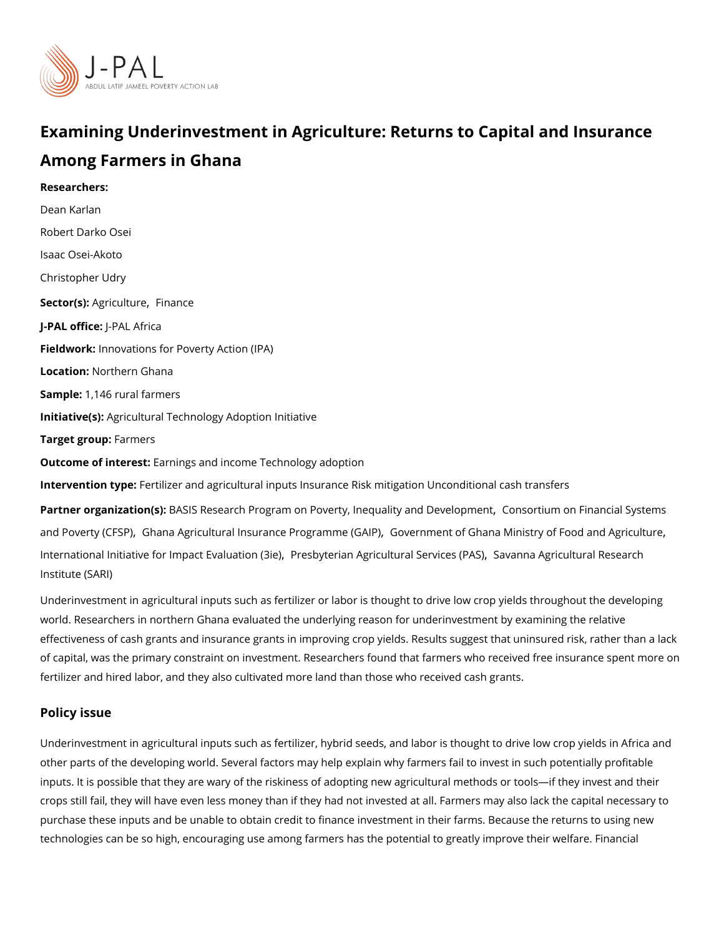# Examining Underinvestment in Agriculture: Returns to Capit

## Among Farmers in Ghana

Researchers: [Dean Ka](https://www.povertyactionlab.org/person/karlan)rlan [Robert Dark](https://www.povertyactionlab.org/person/osei)o Osei Isaac Osei-Akoto [Christopher](https://www.povertyactionlab.org/person/udry) Udry Sector(Asgriculturien ance J-PAL offlicReAL Africa Fieldworkhnovations for Poverty Action (IPA) LocatioN: orthern Ghana Sample: 146 rural farmers Initiative Ass ricultural Technology Adoption Initiative Target grofips mers Outcome of interestings and income Technology adoption Intervention topetilizer and agricultural inputs Insurance Risk mitigation Unconditional ca Partner organizatBioAnS(IsS): Research Program on Poverty[,](https://www.povertyactionlab.org/partners/basis-research-program-poverty-inequality-and-development) InequalCidorgs aom to i LO me voen I o Fpirm aemotial Syst [and Poverty](https://www.povertyactionlab.org/partners/consortium-financial-systems-and-poverty-cfsp) [,](https://www.povertyactionlab.org/partners/government-ghana-ministry-food-and-agriculture) (GFSPa Agricultural Insurance Pr, Cogo ammene (GtA oP) Ghana Ministry of Food and . [International Initiative for Impa](https://www.povertyactionlab.org/partners/international-initiative-impact-evaluation-3ie)ctP Eevsablutatioann (Aigenicultural SSeaviacnensa (Rensidultural Research [Institute](https://www.povertyactionlab.org/partners/savanna-agricultural-research-institute-sari) (SARI)

Underinvestment in agricultural inputs such as fertilizer or labor is thought to drive low c world. Researchers in northern Ghana evaluated the underlying reason for underinvestmer effectiveness of cash grants and insurance grants in improving crop yields. Results sugge of capital, was the primary constraint on investment. Researchers found that farmers who fertilizer and hired labor, and they also cultivated more land than those who received cas

## Policy issue

Underinvestment in agricultural inputs such as fertilizer, hybrid seeds, and labor is thoug other parts of the developing world. Several factors may help explain why farmers fail to inputs. It is possible that they are wary of the riskiness of adopting new agricultural meth crops still fail, they will have even less money than if they had not invested at all. Farme purchase these inputs and be unable to obtain credit to finance investment in their farms. technologies can be so high, encouraging use among farmers has the potential to greatly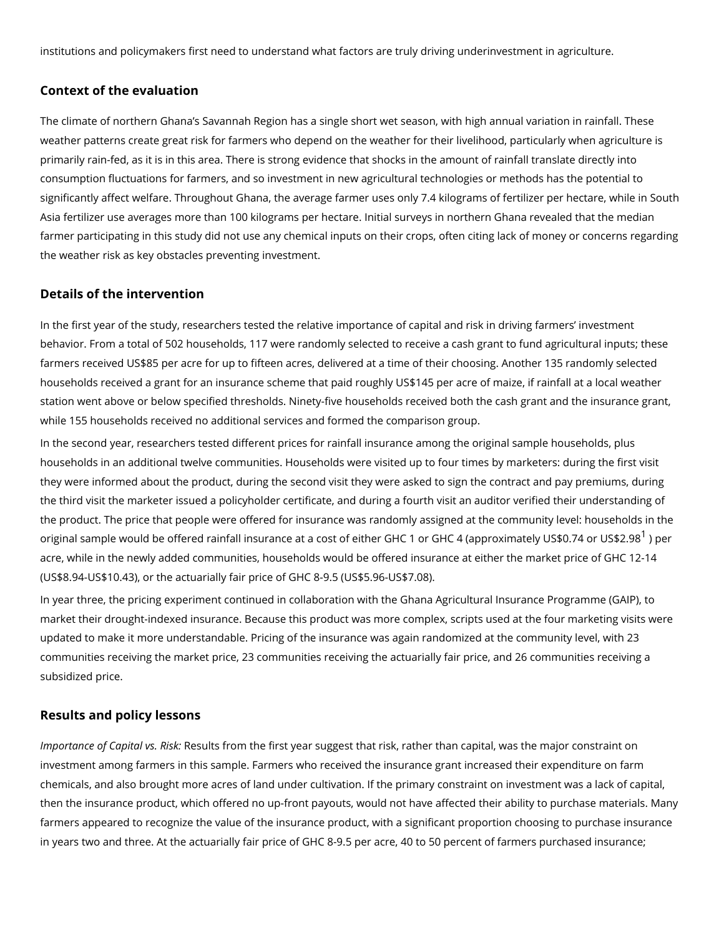institutions and policymakers first need to understand what factors are truly driving unde

#### Context of the evaluation

The climate of northern Ghana s Savannah Region has a single short wet season, with hig weather patterns create great risk for farmers who depend on the weather for their livelih primarily rain-fed, as it is in this area. There is strong evidence that shocks in the amour consumption fluctuations for farmers, and so investment in new agricultural technologies significantly affect welfare. Throughout Ghana, the average farmer uses only 7.4 kilogram Asia fertilizer use averages more than 100 kilograms per hectare. Initial surveys in north farmer participating in this study did not use any chemical inputs on their crops, often cit the weather risk as key obstacles preventing investment.

#### Details of the intervention

In the first year of the study, researchers tested the relative importance of capital and ri behavior. From a total of 502 households, 117 were randomly selected to receive a cash g farmers received US\$85 per acre for up to fifteen acres, delivered at a time of their choo households received a grant for an insurance scheme that paid roughly US\$145 per acre c station went above or below specified thresholds. Ninety-five households received both th while 155 households received no additional services and formed the comparison group.

In the second year, researchers tested different prices for rainfall insurance among the o households in an additional twelve communities. Households were visited up to four times they were informed about the product, during the second visit they were asked to sign the the third visit the marketer issued a policyholder certificate, and during a fourth visit an the product. The price that people were offered for insurance was randomly assigned at the original sample would be offered rainfall insurance at a cost of either GHC [1](#page-2-0) or GH@r4 (a acre, while in the newly added communities, households would be offered insurance at eit (US\$8.94-US\$10.43), or the actuarially fair price of GHC 8-9.5 (US\$5.96-US\$7.08).

In year three, the pricing experiment continued in collaboration with the Ghana Agricultur market their drought-indexed insurance. Because this product was more complex, scripts updated to make it more understandable. Pricing of the insurance was again randomized a communities receiving the market price, 23 communities receiving the actuarially fair pric subsidized price.

### Results and policy lessons

Importance of Capit ale sus lt srist om the first year suggest that risk, rather than capital, was investment among farmers in this sample. Farmers who received the insurance grant incre chemicals, and also brought more acres of land under cultivation. If the primary constraint then the insurance product, which offered no up-front payouts, would not have affected th farmers appeared to recognize the value of the insurance product, with a significant prop in years two and three. At the actuarially fair price of GHC 8-9.5 per acre, 40 to 50 perce